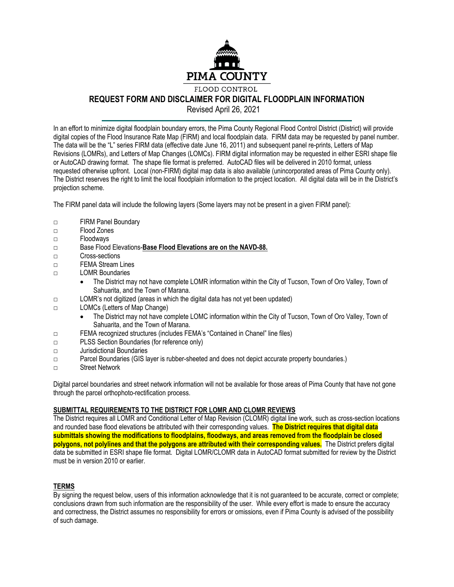

## **REQUEST FORM AND DISCLAIMER FOR DIGITAL FLOODPLAIN INFORMATION**

Revised April 26, 2021

In an effort to minimize digital floodplain boundary errors, the Pima County Regional Flood Control District (District) will provide digital copies of the Flood Insurance Rate Map (FIRM) and local floodplain data. FIRM data may be requested by panel number. The data will be the "L" series FIRM data (effective date June 16, 2011) and subsequent panel re-prints, Letters of Map Revisions (LOMRs), and Letters of Map Changes (LOMCs). FIRM digital information may be requested in either ESRI shape file or AutoCAD drawing format. The shape file format is preferred. AutoCAD files will be delivered in 2010 format, unless requested otherwise upfront. Local (non-FIRM) digital map data is also available (unincorporated areas of Pima County only). The District reserves the right to limit the local floodplain information to the project location. All digital data will be in the District's projection scheme.

The FIRM panel data will include the following layers (Some layers may not be present in a given FIRM panel):

- □ FIRM Panel Boundary
- □ Flood Zones
- □ Floodways
- □ Base Flood Elevations-**Base Flood Elevations are on the NAVD-88.**
- □ Cross-sections
- □ FEMA Stream Lines
- □ LOMR Boundaries
	- The District may not have complete LOMR information within the City of Tucson, Town of Oro Valley, Town of Sahuarita, and the Town of Marana.
- □ LOMR's not digitized (areas in which the digital data has not yet been updated)
- □ LOMCs (Letters of Map Change)
	- The District may not have complete LOMC information within the City of Tucson, Town of Oro Valley, Town of Sahuarita, and the Town of Marana.
- □ FEMA recognized structures (includes FEMA's "Contained in Chanel" line files)
- □ PLSS Section Boundaries (for reference only)
- □ Jurisdictional Boundaries
- □ Parcel Boundaries (GIS layer is rubber-sheeted and does not depict accurate property boundaries.)
- □ Street Network

Digital parcel boundaries and street network information will not be available for those areas of Pima County that have not gone through the parcel orthophoto-rectification process.

## **SUBMITTAL REQUIREMENTS TO THE DISTRICT FOR LOMR AND CLOMR REVIEWS**

The District requires all LOMR and Conditional Letter of Map Revision (CLOMR) digital line work, such as cross-section locations and rounded base flood elevations be attributed with their corresponding values. **The District requires that digital data submittals showing the modifications to floodplains, floodways, and areas removed from the floodplain be closed polygons, not polylines and that the polygons are attributed with their corresponding values.** The District prefers digital data be submitted in ESRI shape file format. Digital LOMR/CLOMR data in AutoCAD format submitted for review by the District must be in version 2010 or earlier.

## **TERMS**

By signing the request below, users of this information acknowledge that it is not guaranteed to be accurate, correct or complete; conclusions drawn from such information are the responsibility of the user. While every effort is made to ensure the accuracy and correctness, the District assumes no responsibility for errors or omissions, even if Pima County is advised of the possibility of such damage.